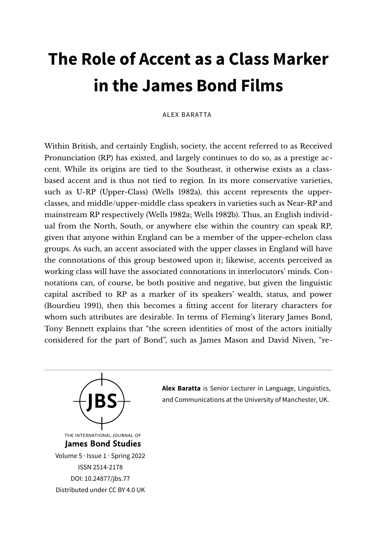# **The Role of Accent as a Class Marker in the James Bond Films**

#### ALEX BARATTA

Within British, and certainly English, society, the accent referred to as Received Pronunciation (RP) has existed, and largely continues to do so, as a prestige accent. While its origins are tied to the Southeast, it otherwise exists as a classbased accent and is thus not tied to region. In its more conservative varieties, such as U-RP (Upper-Class) (Wells 1982a), this accent represents the upperclasses, and middle/upper-middle class speakers in varieties such as Near-RP and mainstream RP respectively (Wells 1982a; Wells 1982b). Thus, an English individual from the North, South, or anywhere else within the country can speak RP, given that anyone within England can be a member of the upper-echelon class groups. As such, an accent associated with the upper classes in England will have the connotations of this group bestowed upon it; likewise, accents perceived as working class will have the associated connotations in interlocutors' minds. Connotations can, of course, be both positive and negative, but given the linguistic capital ascribed to RP as a marker of its speakers' wealth, status, and power (Bourdieu 1991), then this becomes a ftting accent for literary characters for whom such attributes are desirable. In terms of Fleming's literary James Bond, Tony Bennett explains that "the screen identities of most of the actors initially considered for the part of Bond", such as James Mason and David Niven, "re-



**Alex Baratta** is Senior Lecturer in Language, Linguistics, and Communications at the University of Manchester, UK.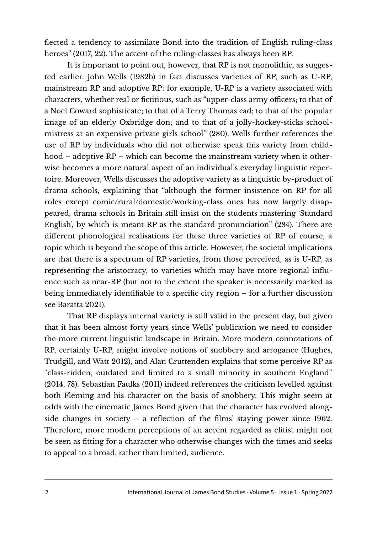flected a tendency to assimilate Bond into the tradition of English ruling-class heroes" (2017, 22). The accent of the ruling-classes has always been RP.

It is important to point out, however, that RP is not monolithic, as suggested earlier. John Wells (1982b) in fact discusses varieties of RP, such as U-RP, mainstream RP and adoptive RP: for example, U-RP is a variety associated with characters, whether real or fictitious, such as "upper-class army officers; to that of a Noel Coward sophisticate; to that of a Terry Thomas cad; to that of the popular image of an elderly Oxbridge don; and to that of a jolly-hockey-sticks schoolmistress at an expensive private girls school" (280). Wells further references the use of RP by individuals who did not otherwise speak this variety from childhood – adoptive RP – which can become the mainstream variety when it otherwise becomes a more natural aspect of an individual's everyday linguistic repertoire. Moreover, Wells discusses the adoptive variety as a linguistic by-product of drama schools, explaining that "although the former insistence on RP for all roles except comic/rural/domestic/working-class ones has now largely disappeared, drama schools in Britain still insist on the students mastering 'Standard English', by which is meant RP as the standard pronunciation" (284). There are different phonological realisations for these three varieties of RP of course, a topic which is beyond the scope of this article. However, the societal implications are that there is a spectrum of RP varieties, from those perceived, as is U-RP, as representing the aristocracy, to varieties which may have more regional influence such as near-RP (but not to the extent the speaker is necessarily marked as being immediately identifable to a specifc city region – for a further discussion see Baratta 2021).

That RP displays internal variety is still valid in the present day, but given that it has been almost forty years since Wells' publication we need to consider the more current linguistic landscape in Britain. More modern connotations of RP, certainly U-RP, might involve notions of snobbery and arrogance (Hughes, Trudgill, and Watt 2012), and Alan Cruttenden explains that some perceive RP as "class-ridden, outdated and limited to a small minority in southern England" (2014, 78). Sebastian Faulks (2011) indeed references the criticism levelled against both Fleming and his character on the basis of snobbery. This might seem at odds with the cinematic James Bond given that the character has evolved alongside changes in society – a reflection of the flms' staying power since 1962. Therefore, more modern perceptions of an accent regarded as elitist might not be seen as ftting for a character who otherwise changes with the times and seeks to appeal to a broad, rather than limited, audience.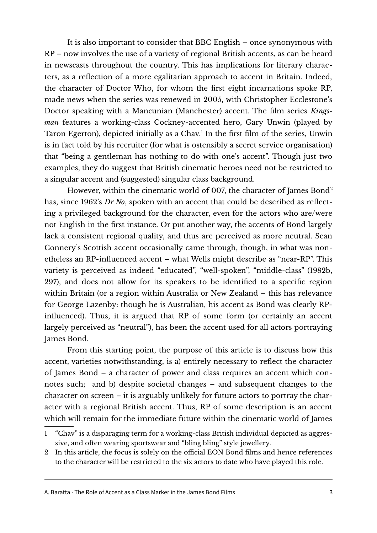It is also important to consider that BBC English – once synonymous with RP – now involves the use of a variety of regional British accents, as can be heard in newscasts throughout the country. This has implications for literary characters, as a reflection of a more egalitarian approach to accent in Britain. Indeed, the character of Doctor Who, for whom the frst eight incarnations spoke RP, made news when the series was renewed in 2005, with Christopher Ecclestone's Doctor speaking with a Mancunian (Manchester) accent. The flm series *Kingsman* features a working-class Cockney-accented hero, Gary Unwin (played by Taron Egerton), depicted initially as a Chav.<sup>[1](#page-2-0)</sup> In the first film of the series, Unwin is in fact told by his recruiter (for what is ostensibly a secret service organisation) that "being a gentleman has nothing to do with one's accent". Though just two examples, they do suggest that British cinematic heroes need not be restricted to a singular accent and (suggested) singular class background.

However, within the cinematic world of 007, the character of James Bond<sup>[2](#page-2-1)</sup> has, since 1962's *Dr No*, spoken with an accent that could be described as reflecting a privileged background for the character, even for the actors who are/were not English in the frst instance. Or put another way, the accents of Bond largely lack a consistent regional quality, and thus are perceived as more neutral. Sean Connery's Scottish accent occasionally came through, though, in what was nonetheless an RP-influenced accent – what Wells might describe as "near-RP". This variety is perceived as indeed "educated", "well-spoken", "middle-class" (1982b, 297), and does not allow for its speakers to be identifed to a specifc region within Britain (or a region within Australia or New Zealand – this has relevance for George Lazenby: though he is Australian, his accent as Bond was clearly RPinfluenced). Thus, it is argued that RP of some form (or certainly an accent largely perceived as "neutral"), has been the accent used for all actors portraying James Bond.

From this starting point, the purpose of this article is to discuss how this accent, varieties notwithstanding, is a) entirely necessary to reflect the character of James Bond – a character of power and class requires an accent which connotes such; and b) despite societal changes – and subsequent changes to the character on screen – it is arguably unlikely for future actors to portray the character with a regional British accent. Thus, RP of some description is an accent which will remain for the immediate future within the cinematic world of James

A. Baratta · The Role of Accent as a Class Marker in the James Bond Films  $\frac{3}{2}$ 

<span id="page-2-0"></span><sup>1</sup> "Chav" is a disparaging term for a working-class British individual depicted as aggressive, and often wearing sportswear and "bling bling" style jewellery.

<span id="page-2-1"></span><sup>2</sup> In this article, the focus is solely on the official EON Bond films and hence references to the character will be restricted to the six actors to date who have played this role.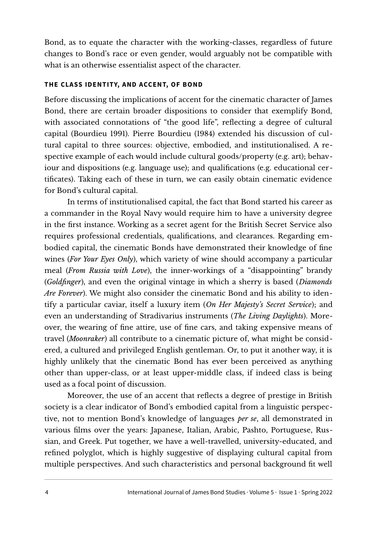Bond, as to equate the character with the working-classes, regardless of future changes to Bond's race or even gender, would arguably not be compatible with what is an otherwise essentialist aspect of the character.

### **THE CLASS IDENTITY, AND ACCENT, OF BOND**

Before discussing the implications of accent for the cinematic character of James Bond, there are certain broader dispositions to consider that exemplify Bond, with associated connotations of "the good life", reflecting a degree of cultural capital (Bourdieu 1991). Pierre Bourdieu (1984) extended his discussion of cultural capital to three sources: objective, embodied, and institutionalised. A respective example of each would include cultural goods/property (e.g. art); behaviour and dispositions (e.g. language use); and qualifcations (e.g. educational certifcates). Taking each of these in turn, we can easily obtain cinematic evidence for Bond's cultural capital.

In terms of institutionalised capital, the fact that Bond started his career as a commander in the Royal Navy would require him to have a university degree in the frst instance. Working as a secret agent for the British Secret Service also requires professional credentials, qualifcations, and clearances. Regarding embodied capital, the cinematic Bonds have demonstrated their knowledge of fne wines (*For Your Eyes Only*), which variety of wine should accompany a particular meal (*From Russia with Love*), the inner-workings of a "disappointing" brandy (*Goldfnger*), and even the original vintage in which a sherry is based (*Diamonds Are Forever*). We might also consider the cinematic Bond and his ability to identify a particular caviar, itself a luxury item (*On Her Majesty's Secret Service*); and even an understanding of Stradivarius instruments (*The Living Daylights*). Moreover, the wearing of fne attire, use of fne cars, and taking expensive means of travel (*Moonraker*) all contribute to a cinematic picture of, what might be considered, a cultured and privileged English gentleman. Or, to put it another way, it is highly unlikely that the cinematic Bond has ever been perceived as anything other than upper-class, or at least upper-middle class, if indeed class is being used as a focal point of discussion.

Moreover, the use of an accent that reflects a degree of prestige in British society is a clear indicator of Bond's embodied capital from a linguistic perspective, not to mention Bond's knowledge of languages *per se*, all demonstrated in various flms over the years: Japanese, Italian, Arabic, Pashto, Portuguese, Russian, and Greek. Put together, we have a well-travelled, university-educated, and refned polyglot, which is highly suggestive of displaying cultural capital from multiple perspectives. And such characteristics and personal background ft well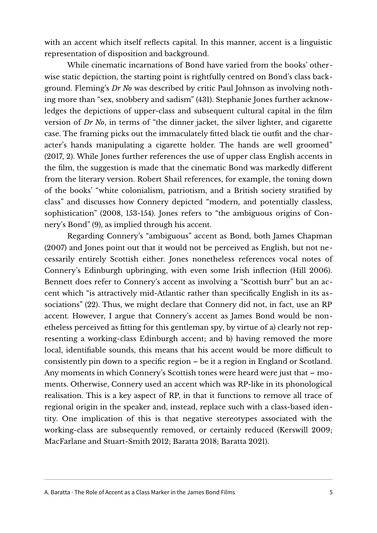with an accent which itself reflects capital. In this manner, accent is a linguistic representation of disposition and background.

While cinematic incarnations of Bond have varied from the books' otherwise static depiction, the starting point is rightfully centred on Bond's class background. Fleming's *Dr No* was described by critic Paul Johnson as involving nothing more than "sex, snobbery and sadism" (431). Stephanie Jones further acknowledges the depictions of upper-class and subsequent cultural capital in the flm version of *Dr No*, in terms of "the dinner jacket, the silver lighter, and cigarette case. The framing picks out the immaculately ftted black tie outft and the character's hands manipulating a cigarette holder. The hands are well groomed" (2017, 2). While Jones further references the use of upper class English accents in the flm, the suggestion is made that the cinematic Bond was markedly different from the literary version. Robert Shail references, for example, the toning down of the books' "white colonialism, patriotism, and a British society stratifed by class" and discusses how Connery depicted "modern, and potentially classless, sophistication" (2008, 153-154). Jones refers to "the ambiguous origins of Connery's Bond" (9), as implied through his accent.

Regarding Connery's "ambiguous" accent as Bond, both James Chapman (2007) and Jones point out that it would not be perceived as English, but not necessarily entirely Scottish either. Jones nonetheless references vocal notes of Connery's Edinburgh upbringing, with even some Irish inflection (Hill 2006). Bennett does refer to Connery's accent as involving a "Scottish burr" but an accent which "is attractively mid-Atlantic rather than specifcally English in its associations" (22). Thus, we might declare that Connery did not, in fact, use an RP accent. However, I argue that Connery's accent as James Bond would be nonetheless perceived as ftting for this gentleman spy, by virtue of a) clearly not representing a working-class Edinburgh accent; and b) having removed the more local, identifiable sounds, this means that his accent would be more difficult to consistently pin down to a specifc region – be it a region in England or Scotland. Any moments in which Connery's Scottish tones were heard were just that – moments. Otherwise, Connery used an accent which was RP-like in its phonological realisation. This is a key aspect of RP, in that it functions to remove all trace of regional origin in the speaker and, instead, replace such with a class-based identity. One implication of this is that negative stereotypes associated with the working-class are subsequently removed, or certainly reduced (Kerswill 2009; MacFarlane and Stuart-Smith 2012; Baratta 2018; Baratta 2021).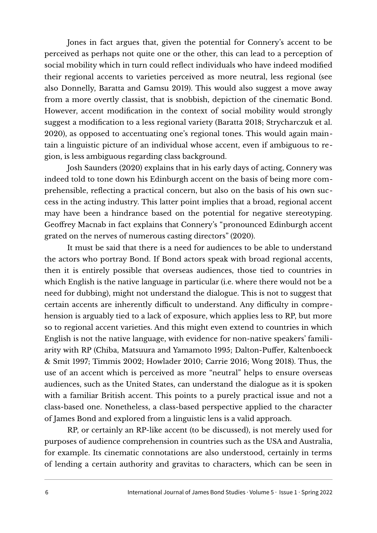Jones in fact argues that, given the potential for Connery's accent to be perceived as perhaps not quite one or the other, this can lead to a perception of social mobility which in turn could reflect individuals who have indeed modifed their regional accents to varieties perceived as more neutral, less regional (see also Donnelly, Baratta and Gamsu 2019). This would also suggest a move away from a more overtly classist, that is snobbish, depiction of the cinematic Bond. However, accent modifcation in the context of social mobility would strongly suggest a modifcation to a less regional variety (Baratta 2018; Strycharczuk et al. 2020), as opposed to accentuating one's regional tones. This would again maintain a linguistic picture of an individual whose accent, even if ambiguous to region, is less ambiguous regarding class background.

Josh Saunders (2020) explains that in his early days of acting, Connery was indeed told to tone down his Edinburgh accent on the basis of being more comprehensible, reflecting a practical concern, but also on the basis of his own success in the acting industry. This latter point implies that a broad, regional accent may have been a hindrance based on the potential for negative stereotyping. Geoffrey Macnab in fact explains that Connery's "pronounced Edinburgh accent grated on the nerves of numerous casting directors" (2020).

It must be said that there is a need for audiences to be able to understand the actors who portray Bond. If Bond actors speak with broad regional accents, then it is entirely possible that overseas audiences, those tied to countries in which English is the native language in particular (i.e. where there would not be a need for dubbing), might not understand the dialogue. This is not to suggest that certain accents are inherently difficult to understand. Any difficulty in comprehension is arguably tied to a lack of exposure, which applies less to RP, but more so to regional accent varieties. And this might even extend to countries in which English is not the native language, with evidence for non-native speakers' familiarity with RP (Chiba, Matsuura and Yamamoto 1995; Dalton-Puffer, Kaltenboeck & Smit 1997; Timmis 2002; Howlader 2010; Carrie 2016; Wong 2018). Thus, the use of an accent which is perceived as more "neutral" helps to ensure overseas audiences, such as the United States, can understand the dialogue as it is spoken with a familiar British accent. This points to a purely practical issue and not a class-based one. Nonetheless, a class-based perspective applied to the character of James Bond and explored from a linguistic lens is a valid approach.

RP, or certainly an RP-like accent (to be discussed), is not merely used for purposes of audience comprehension in countries such as the USA and Australia, for example. Its cinematic connotations are also understood, certainly in terms of lending a certain authority and gravitas to characters, which can be seen in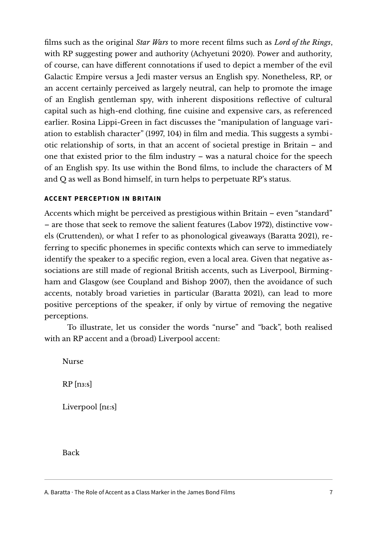flms such as the original *Star Wars* to more recent flms such as *Lord of the Rings*, with RP suggesting power and authority (Achyetuni 2020). Power and authority, of course, can have different connotations if used to depict a member of the evil Galactic Empire versus a Jedi master versus an English spy. Nonetheless, RP, or an accent certainly perceived as largely neutral, can help to promote the image of an English gentleman spy, with inherent dispositions reflective of cultural capital such as high-end clothing, fne cuisine and expensive cars, as referenced earlier. Rosina Lippi-Green in fact discusses the "manipulation of language variation to establish character" (1997, 104) in flm and media. This suggests a symbiotic relationship of sorts, in that an accent of societal prestige in Britain – and one that existed prior to the flm industry – was a natural choice for the speech of an English spy. Its use within the Bond flms, to include the characters of M and Q as well as Bond himself, in turn helps to perpetuate RP's status.

## **ACCENT PERCEPTION IN BRITAIN**

Accents which might be perceived as prestigious within Britain – even "standard" – are those that seek to remove the salient features (Labov 1972), distinctive vowels (Cruttenden), or what I refer to as phonological giveaways (Baratta 2021), referring to specifc phonemes in specifc contexts which can serve to immediately identify the speaker to a specifc region, even a local area. Given that negative associations are still made of regional British accents, such as Liverpool, Birmingham and Glasgow (see Coupland and Bishop 2007), then the avoidance of such accents, notably broad varieties in particular (Baratta 2021), can lead to more positive perceptions of the speaker, if only by virtue of removing the negative perceptions.

To illustrate, let us consider the words "nurse" and "back", both realised with an RP accent and a (broad) Liverpool accent:

Nurse

 $RP$  [n<sub>3:S</sub>]

Liverpool [n :s]

Back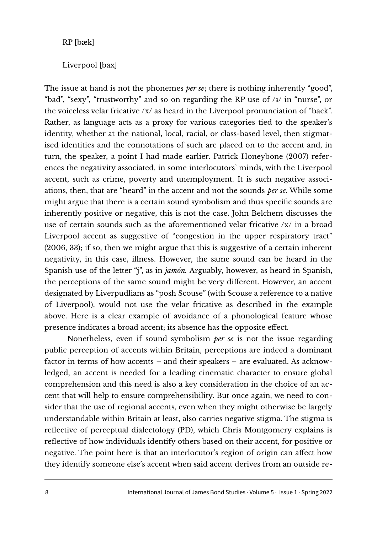RP [bæk]

Liverpool [bax]

The issue at hand is not the phonemes *per se*; there is nothing inherently "good", "bad", "sexy", "trustworthy" and so on regarding the RP use of  $/3/$  in "nurse", or the voiceless velar fricative /x/ as heard in the Liverpool pronunciation of "back". Rather, as language acts as a proxy for various categories tied to the speaker's identity, whether at the national, local, racial, or class-based level, then stigmatised identities and the connotations of such are placed on to the accent and, in turn, the speaker, a point I had made earlier. Patrick Honeybone (2007) references the negativity associated, in some interlocutors' minds, with the Liverpool accent, such as crime, poverty and unemployment. It is such negative associations, then, that are "heard" in the accent and not the sounds *per se*. While some might argue that there is a certain sound symbolism and thus specifc sounds are inherently positive or negative, this is not the case. John Belchem discusses the use of certain sounds such as the aforementioned velar fricative /x/ in a broad Liverpool accent as suggestive of "congestion in the upper respiratory tract" (2006, 33); if so, then we might argue that this is suggestive of a certain inherent negativity, in this case, illness. However, the same sound can be heard in the Spanish use of the letter "j", as in *jamón.* Arguably, however, as heard in Spanish, the perceptions of the same sound might be very different. However, an accent designated by Liverpudlians as "posh Scouse" (with Scouse a reference to a native of Liverpool), would not use the velar fricative as described in the example above. Here is a clear example of avoidance of a phonological feature whose presence indicates a broad accent; its absence has the opposite effect.

Nonetheless, even if sound symbolism *per se* is not the issue regarding public perception of accents within Britain, perceptions are indeed a dominant factor in terms of how accents – and their speakers – are evaluated. As acknowledged, an accent is needed for a leading cinematic character to ensure global comprehension and this need is also a key consideration in the choice of an accent that will help to ensure comprehensibility. But once again, we need to consider that the use of regional accents, even when they might otherwise be largely understandable within Britain at least, also carries negative stigma. The stigma is reflective of perceptual dialectology (PD), which Chris Montgomery explains is reflective of how individuals identify others based on their accent, for positive or negative. The point here is that an interlocutor's region of origin can affect how they identify someone else's accent when said accent derives from an outside re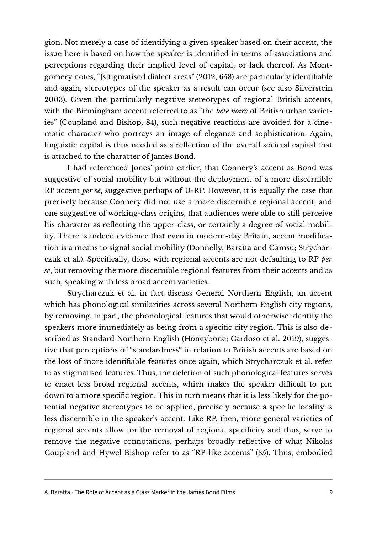gion. Not merely a case of identifying a given speaker based on their accent, the issue here is based on how the speaker is identifed in terms of associations and perceptions regarding their implied level of capital, or lack thereof. As Montgomery notes, "[s]tigmatised dialect areas" (2012, 658) are particularly identifable and again, stereotypes of the speaker as a result can occur (see also Silverstein 2003). Given the particularly negative stereotypes of regional British accents, with the Birmingham accent referred to as "the *bête noire* of British urban varieties" (Coupland and Bishop, 84), such negative reactions are avoided for a cinematic character who portrays an image of elegance and sophistication. Again, linguistic capital is thus needed as a reflection of the overall societal capital that is attached to the character of James Bond.

I had referenced Jones' point earlier, that Connery's accent as Bond was suggestive of social mobility but without the deployment of a more discernible RP accent *per se*, suggestive perhaps of U-RP. However, it is equally the case that precisely because Connery did not use a more discernible regional accent, and one suggestive of working-class origins, that audiences were able to still perceive his character as reflecting the upper-class, or certainly a degree of social mobility. There is indeed evidence that even in modern-day Britain, accent modifcation is a means to signal social mobility (Donnelly, Baratta and Gamsu; Strycharczuk et al.). Specifcally, those with regional accents are not defaulting to RP *per se*, but removing the more discernible regional features from their accents and as such, speaking with less broad accent varieties.

Strycharczuk et al. in fact discuss General Northern English, an accent which has phonological similarities across several Northern English city regions, by removing, in part, the phonological features that would otherwise identify the speakers more immediately as being from a specifc city region. This is also described as Standard Northern English (Honeybone; Cardoso et al. 2019), suggestive that perceptions of "standardness" in relation to British accents are based on the loss of more identifable features once again, which Strycharczuk et al. refer to as stigmatised features. Thus, the deletion of such phonological features serves to enact less broad regional accents, which makes the speaker difficult to pin down to a more specifc region. This in turn means that it is less likely for the potential negative stereotypes to be applied, precisely because a specifc locality is less discernible in the speaker's accent. Like RP, then, more general varieties of regional accents allow for the removal of regional specifcity and thus, serve to remove the negative connotations, perhaps broadly reflective of what Nikolas Coupland and Hywel Bishop refer to as "RP-like accents" (85). Thus, embodied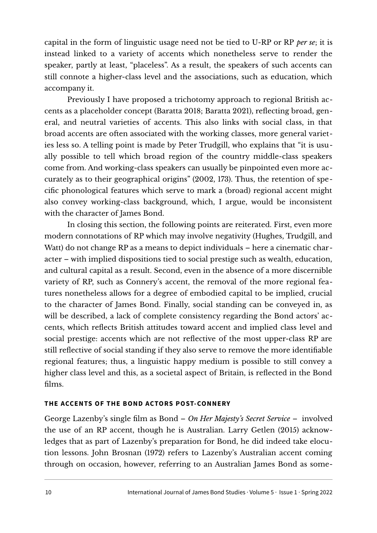capital in the form of linguistic usage need not be tied to U-RP or RP *per se*; it is instead linked to a variety of accents which nonetheless serve to render the speaker, partly at least, "placeless". As a result, the speakers of such accents can still connote a higher-class level and the associations, such as education, which accompany it.

Previously I have proposed a trichotomy approach to regional British accents as a placeholder concept (Baratta 2018; Baratta 2021), reflecting broad, general, and neutral varieties of accents. This also links with social class, in that broad accents are often associated with the working classes, more general varieties less so. A telling point is made by Peter Trudgill, who explains that "it is usually possible to tell which broad region of the country middle-class speakers come from. And working-class speakers can usually be pinpointed even more accurately as to their geographical origins" (2002, 173). Thus, the retention of specifc phonological features which serve to mark a (broad) regional accent might also convey working-class background, which, I argue, would be inconsistent with the character of James Bond.

In closing this section, the following points are reiterated. First, even more modern connotations of RP which may involve negativity (Hughes, Trudgill, and Watt) do not change RP as a means to depict individuals – here a cinematic character – with implied dispositions tied to social prestige such as wealth, education, and cultural capital as a result. Second, even in the absence of a more discernible variety of RP, such as Connery's accent, the removal of the more regional features nonetheless allows for a degree of embodied capital to be implied, crucial to the character of James Bond. Finally, social standing can be conveyed in, as will be described, a lack of complete consistency regarding the Bond actors' accents, which reflects British attitudes toward accent and implied class level and social prestige: accents which are not reflective of the most upper-class RP are still reflective of social standing if they also serve to remove the more identifable regional features; thus, a linguistic happy medium is possible to still convey a higher class level and this, as a societal aspect of Britain, is reflected in the Bond flms.

## **THE ACCENTS OF THE BOND ACTORS POST-CONNERY**

George Lazenby's single flm as Bond – *On Her Majesty's Secret Service* – involved the use of an RP accent, though he is Australian. Larry Getlen (2015) acknowledges that as part of Lazenby's preparation for Bond, he did indeed take elocution lessons. John Brosnan (1972) refers to Lazenby's Australian accent coming through on occasion, however, referring to an Australian James Bond as some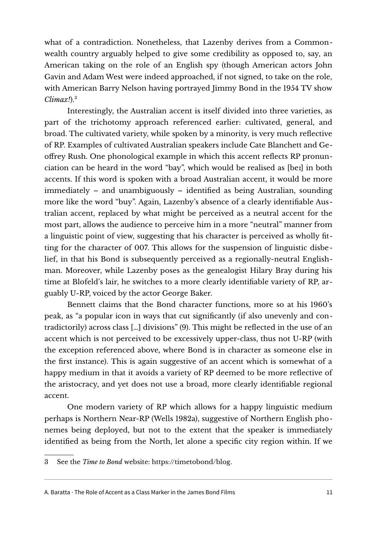what of a contradiction. Nonetheless, that Lazenby derives from a Commonwealth country arguably helped to give some credibility as opposed to, say, an American taking on the role of an English spy (though American actors John Gavin and Adam West were indeed approached, if not signed, to take on the role, with American Barry Nelson having portrayed Jimmy Bond in the 1954 TV show *Climax!*).[3](#page-10-0)

Interestingly, the Australian accent is itself divided into three varieties, as part of the trichotomy approach referenced earlier: cultivated, general, and broad. The cultivated variety, while spoken by a minority, is very much reflective of RP. Examples of cultivated Australian speakers include Cate Blanchett and Geoffrey Rush. One phonological example in which this accent reflects RP pronunciation can be heard in the word "bay", which would be realised as [bei] in both accents. If this word is spoken with a broad Australian accent, it would be more immediately – and unambiguously – identifed as being Australian, sounding more like the word "buy". Again, Lazenby's absence of a clearly identifable Australian accent, replaced by what might be perceived as a neutral accent for the most part, allows the audience to perceive him in a more "neutral" manner from a linguistic point of view, suggesting that his character is perceived as wholly ftting for the character of 007. This allows for the suspension of linguistic disbelief, in that his Bond is subsequently perceived as a regionally-neutral Englishman. Moreover, while Lazenby poses as the genealogist Hilary Bray during his time at Blofeld's lair, he switches to a more clearly identifable variety of RP, arguably U-RP, voiced by the actor George Baker.

Bennett claims that the Bond character functions, more so at his 1960's peak, as "a popular icon in ways that cut signifcantly (if also unevenly and contradictorily) across class […] divisions" (9). This might be reflected in the use of an accent which is not perceived to be excessively upper-class, thus not U-RP (with the exception referenced above, where Bond is in character as someone else in the frst instance). This is again suggestive of an accent which is somewhat of a happy medium in that it avoids a variety of RP deemed to be more reflective of the aristocracy, and yet does not use a broad, more clearly identifable regional accent.

One modern variety of RP which allows for a happy linguistic medium perhaps is Northern Near-RP (Wells 1982a), suggestive of Northern English phonemes being deployed, but not to the extent that the speaker is immediately identifed as being from the North, let alone a specifc city region within. If we

<span id="page-10-0"></span><sup>3</sup> See the *Time to Bond* website: [https://timetobond/blog.](https://timetobond.blog/)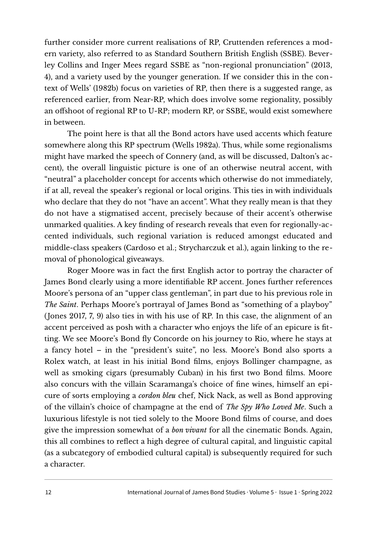further consider more current realisations of RP, Cruttenden references a modern variety, also referred to as Standard Southern British English (SSBE). Beverley Collins and Inger Mees regard SSBE as "non-regional pronunciation" (2013, 4), and a variety used by the younger generation. If we consider this in the context of Wells' (1982b) focus on varieties of RP, then there is a suggested range, as referenced earlier, from Near-RP, which does involve some regionality, possibly an offshoot of regional RP to U-RP; modern RP, or SSBE, would exist somewhere in between.

The point here is that all the Bond actors have used accents which feature somewhere along this RP spectrum (Wells 1982a). Thus, while some regionalisms might have marked the speech of Connery (and, as will be discussed, Dalton's accent), the overall linguistic picture is one of an otherwise neutral accent, with "neutral" a placeholder concept for accents which otherwise do not immediately, if at all, reveal the speaker's regional or local origins. This ties in with individuals who declare that they do not "have an accent". What they really mean is that they do not have a stigmatised accent, precisely because of their accent's otherwise unmarked qualities. A key fnding of research reveals that even for regionally-accented individuals, such regional variation is reduced amongst educated and middle-class speakers (Cardoso et al.; Strycharczuk et al.), again linking to the removal of phonological giveaways.

Roger Moore was in fact the frst English actor to portray the character of James Bond clearly using a more identifable RP accent. Jones further references Moore's persona of an "upper class gentleman", in part due to his previous role in *The Saint*. Perhaps Moore's portrayal of James Bond as "something of a playboy" (Jones 2017, 7, 9) also ties in with his use of RP. In this case, the alignment of an accent perceived as posh with a character who enjoys the life of an epicure is ftting. We see Moore's Bond fly Concorde on his journey to Rio, where he stays at a fancy hotel – in the "president's suite", no less. Moore's Bond also sports a Rolex watch, at least in his initial Bond flms, enjoys Bollinger champagne, as well as smoking cigars (presumably Cuban) in his frst two Bond flms. Moore also concurs with the villain Scaramanga's choice of fne wines, himself an epicure of sorts employing a *cordon bleu* chef, Nick Nack, as well as Bond approving of the villain's choice of champagne at the end of *The Spy Who Loved Me*. Such a luxurious lifestyle is not tied solely to the Moore Bond flms of course, and does give the impression somewhat of a *bon vivant* for all the cinematic Bonds. Again, this all combines to reflect a high degree of cultural capital, and linguistic capital (as a subcategory of embodied cultural capital) is subsequently required for such a character.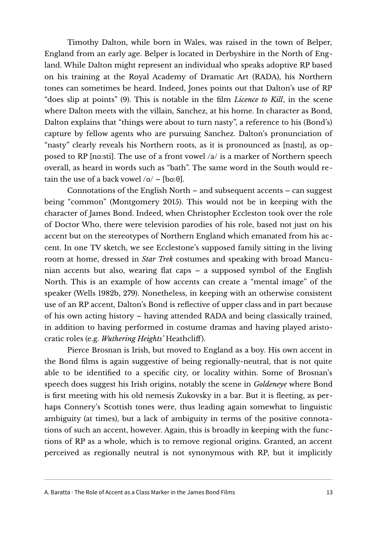Timothy Dalton, while born in Wales, was raised in the town of Belper, England from an early age. Belper is located in Derbyshire in the North of England. While Dalton might represent an individual who speaks adoptive RP based on his training at the Royal Academy of Dramatic Art (RADA), his Northern tones can sometimes be heard. Indeed, Jones points out that Dalton's use of RP "does slip at points" (9). This is notable in the flm *Licence to Kill*, in the scene where Dalton meets with the villain, Sanchez, at his home. In character as Bond, Dalton explains that "things were about to turn nasty", a reference to his (Bond's) capture by fellow agents who are pursuing Sanchez. Dalton's pronunciation of "nasty" clearly reveals his Northern roots, as it is pronounced as [nasti], as opposed to RP [na:sti]. The use of a front vowel  $/a/$  is a marker of Northern speech overall, as heard in words such as "bath". The same word in the South would retain the use of a back vowel  $/a$  – [bq:  $\theta$ ].

Connotations of the English North – and subsequent accents – can suggest being "common" (Montgomery 2015). This would not be in keeping with the character of James Bond. Indeed, when Christopher Eccleston took over the role of Doctor Who, there were television parodies of his role, based not just on his accent but on the stereotypes of Northern England which emanated from his accent. In one TV sketch, we see Ecclestone's supposed family sitting in the living room at home, dressed in *Star Trek* costumes and speaking with broad Mancunian accents but also, wearing flat caps – a supposed symbol of the English North. This is an example of how accents can create a "mental image" of the speaker (Wells 1982b, 279). Nonetheless, in keeping with an otherwise consistent use of an RP accent, Dalton's Bond is reflective of upper class and in part because of his own acting history – having attended RADA and being classically trained, in addition to having performed in costume dramas and having played aristocratic roles (e.g. *Wuthering Heights'* Heathcliff).

Pierce Brosnan is Irish, but moved to England as a boy. His own accent in the Bond flms is again suggestive of being regionally-neutral, that is not quite able to be identifed to a specifc city, or locality within. Some of Brosnan's speech does suggest his Irish origins, notably the scene in *Goldeneye* where Bond is frst meeting with his old nemesis Zukovsky in a bar. But it is fleeting, as perhaps Connery's Scottish tones were, thus leading again somewhat to linguistic ambiguity (at times), but a lack of ambiguity in terms of the positive connotations of such an accent, however. Again, this is broadly in keeping with the functions of RP as a whole, which is to remove regional origins. Granted, an accent perceived as regionally neutral is not synonymous with RP, but it implicitly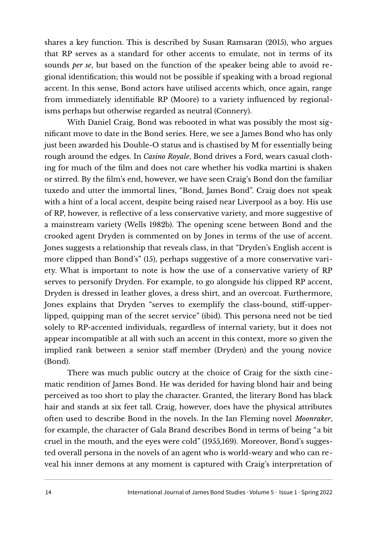shares a key function. This is described by Susan Ramsaran (2015), who argues that RP serves as a standard for other accents to emulate, not in terms of its sounds *per se*, but based on the function of the speaker being able to avoid regional identifcation; this would not be possible if speaking with a broad regional accent. In this sense, Bond actors have utilised accents which, once again, range from immediately identifable RP (Moore) to a variety influenced by regionalisms perhaps but otherwise regarded as neutral (Connery).

With Daniel Craig, Bond was rebooted in what was possibly the most signifcant move to date in the Bond series. Here, we see a James Bond who has only just been awarded his Double-O status and is chastised by M for essentially being rough around the edges. In *Casino Royale*, Bond drives a Ford, wears casual clothing for much of the flm and does not care whether his vodka martini is shaken or stirred. By the flm's end, however, we have seen Craig's Bond don the familiar tuxedo and utter the immortal lines, "Bond, James Bond". Craig does not speak with a hint of a local accent, despite being raised near Liverpool as a boy. His use of RP, however, is reflective of a less conservative variety, and more suggestive of a mainstream variety (Wells 1982b). The opening scene between Bond and the crooked agent Dryden is commented on by Jones in terms of the use of accent. Jones suggests a relationship that reveals class, in that "Dryden's English accent is more clipped than Bond's" (15), perhaps suggestive of a more conservative variety. What is important to note is how the use of a conservative variety of RP serves to personify Dryden. For example, to go alongside his clipped RP accent, Dryden is dressed in leather gloves, a dress shirt, and an overcoat. Furthermore, Jones explains that Dryden "serves to exemplify the class-bound, stiff-upperlipped, quipping man of the secret service" (ibid). This persona need not be tied solely to RP-accented individuals, regardless of internal variety, but it does not appear incompatible at all with such an accent in this context, more so given the implied rank between a senior staff member (Dryden) and the young novice (Bond).

There was much public outcry at the choice of Craig for the sixth cinematic rendition of James Bond. He was derided for having blond hair and being perceived as too short to play the character. Granted, the literary Bond has black hair and stands at six feet tall. Craig, however, does have the physical attributes ofen used to describe Bond in the novels. In the Ian Fleming novel *Moonraker*, for example, the character of Gala Brand describes Bond in terms of being "a bit cruel in the mouth, and the eyes were cold" (1955,169). Moreover, Bond's suggested overall persona in the novels of an agent who is world-weary and who can reveal his inner demons at any moment is captured with Craig's interpretation of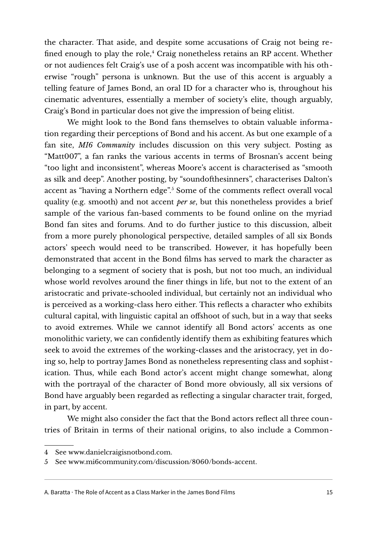the character. That aside, and despite some accusations of Craig not being re-fined enough to play the role,<sup>[4](#page-14-0)</sup> Craig nonetheless retains an RP accent. Whether or not audiences felt Craig's use of a posh accent was incompatible with his otherwise "rough" persona is unknown. But the use of this accent is arguably a telling feature of James Bond, an oral ID for a character who is, throughout his cinematic adventures, essentially a member of society's elite, though arguably, Craig's Bond in particular does not give the impression of being elitist.

We might look to the Bond fans themselves to obtain valuable information regarding their perceptions of Bond and his accent. As but one example of a fan site, *MI6 Community* includes discussion on this very subject. Posting as "Matt007", a fan ranks the various accents in terms of Brosnan's accent being "too light and inconsistent", whereas Moore's accent is characterised as "smooth as silk and deep". Another posting, by "soundofhesinners", characterises Dalton's accent as "having a Northern edge".[5](#page-14-1) Some of the comments reflect overall vocal quality (e.g. smooth) and not accent *per se*, but this nonetheless provides a brief sample of the various fan-based comments to be found online on the myriad Bond fan sites and forums. And to do further justice to this discussion, albeit from a more purely phonological perspective, detailed samples of all six Bonds actors' speech would need to be transcribed. However, it has hopefully been demonstrated that accent in the Bond flms has served to mark the character as belonging to a segment of society that is posh, but not too much, an individual whose world revolves around the fner things in life, but not to the extent of an aristocratic and private-schooled individual, but certainly not an individual who is perceived as a working-class hero either. This reflects a character who exhibits cultural capital, with linguistic capital an offshoot of such, but in a way that seeks to avoid extremes. While we cannot identify all Bond actors' accents as one monolithic variety, we can confdently identify them as exhibiting features which seek to avoid the extremes of the working-classes and the aristocracy, yet in doing so, help to portray James Bond as nonetheless representing class and sophistication. Thus, while each Bond actor's accent might change somewhat, along with the portrayal of the character of Bond more obviously, all six versions of Bond have arguably been regarded as reflecting a singular character trait, forged, in part, by accent.

We might also consider the fact that the Bond actors reflect all three countries of Britain in terms of their national origins, to also include a Common-

<span id="page-14-0"></span><sup>4</sup> See [www.danielcraigisnotbond.com.](http://danielcraigisnotbond.com/index/)

<span id="page-14-1"></span><sup>5</sup> See [www.mi6community.com/discussion/8060/bonds-accent.](https://www.mi6community.com/discussion/8060/bonds-accent)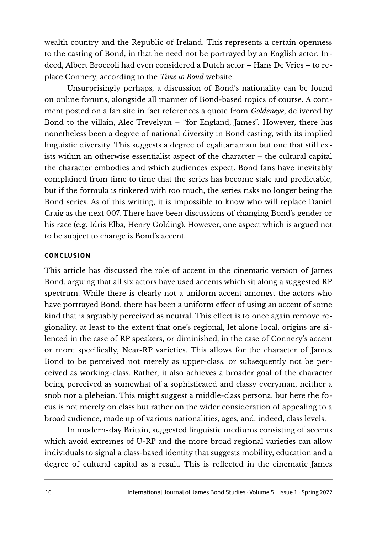wealth country and the Republic of Ireland. This represents a certain openness to the casting of Bond, in that he need not be portrayed by an English actor. Indeed, Albert Broccoli had even considered a Dutch actor – Hans De Vries – to replace Connery, according to the *Time to Bond* website.

Unsurprisingly perhaps, a discussion of Bond's nationality can be found on online forums, alongside all manner of Bond-based topics of course. A comment posted on a fan site in fact references a quote from *Goldeneye*, delivered by Bond to the villain, Alec Trevelyan – "for England, James". However, there has nonetheless been a degree of national diversity in Bond casting, with its implied linguistic diversity. This suggests a degree of egalitarianism but one that still exists within an otherwise essentialist aspect of the character – the cultural capital the character embodies and which audiences expect. Bond fans have inevitably complained from time to time that the series has become stale and predictable, but if the formula is tinkered with too much, the series risks no longer being the Bond series. As of this writing, it is impossible to know who will replace Daniel Craig as the next 007. There have been discussions of changing Bond's gender or his race (e.g. Idris Elba, Henry Golding). However, one aspect which is argued not to be subject to change is Bond's accent.

#### **CONCLUSION**

This article has discussed the role of accent in the cinematic version of James Bond, arguing that all six actors have used accents which sit along a suggested RP spectrum. While there is clearly not a uniform accent amongst the actors who have portrayed Bond, there has been a uniform effect of using an accent of some kind that is arguably perceived as neutral. This effect is to once again remove regionality, at least to the extent that one's regional, let alone local, origins are silenced in the case of RP speakers, or diminished, in the case of Connery's accent or more specifcally, Near-RP varieties. This allows for the character of James Bond to be perceived not merely as upper-class, or subsequently not be perceived as working-class. Rather, it also achieves a broader goal of the character being perceived as somewhat of a sophisticated and classy everyman, neither a snob nor a plebeian. This might suggest a middle-class persona, but here the focus is not merely on class but rather on the wider consideration of appealing to a broad audience, made up of various nationalities, ages, and, indeed, class levels.

In modern-day Britain, suggested linguistic mediums consisting of accents which avoid extremes of U-RP and the more broad regional varieties can allow individuals to signal a class-based identity that suggests mobility, education and a degree of cultural capital as a result. This is reflected in the cinematic James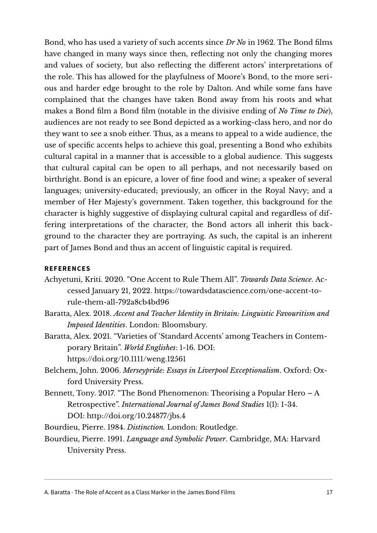Bond, who has used a variety of such accents since *Dr No* in 1962. The Bond flms have changed in many ways since then, reflecting not only the changing mores and values of society, but also reflecting the different actors' interpretations of the role. This has allowed for the playfulness of Moore's Bond, to the more serious and harder edge brought to the role by Dalton. And while some fans have complained that the changes have taken Bond away from his roots and what makes a Bond flm a Bond flm (notable in the divisive ending of *No Time to Die*), audiences are not ready to see Bond depicted as a working-class hero, and nor do they want to see a snob either. Thus, as a means to appeal to a wide audience, the use of specifc accents helps to achieve this goal, presenting a Bond who exhibits cultural capital in a manner that is accessible to a global audience. This suggests that cultural capital can be open to all perhaps, and not necessarily based on birthright. Bond is an epicure, a lover of fne food and wine; a speaker of several languages; university-educated; previously, an officer in the Royal Navy; and a member of Her Majesty's government. Taken together, this background for the character is highly suggestive of displaying cultural capital and regardless of differing interpretations of the character, the Bond actors all inherit this background to the character they are portraying. As such, the capital is an inherent part of James Bond and thus an accent of linguistic capital is required.

#### **REFERENCES**

- Achyetuni, Kriti. 2020. "One Accent to Rule Them All". *Towards Data Science*. Accessed January 21, 2022. [https://towardsdatascience.com/one-accent-to](https://towardsdatascience.com/one-accent-to-rule-them-all-792a8cb4bd96)[rule-them-all-792a8cb4bd96](https://towardsdatascience.com/one-accent-to-rule-them-all-792a8cb4bd96)
- Baratta, Alex. 2018. *Accent and Teacher Identity in Britain: Linguistic Favouritism and Imposed Identities*. London: Bloomsbury.
- Baratta, Alex. 2021. "Varieties of 'Standard Accents' among Teachers in Contemporary Britain". *World Englishes*: 1-16. DOI: <https://doi.org/10.1111/weng.12561>
- Belchem, John. 2006. *Merseypride: Essays in Liverpool Exceptionalism*. Oxford: Oxford University Press.
- Bennett, Tony. 2017. "The Bond Phenomenon: Theorising a Popular Hero A Retrospective". *International Journal of James Bond Studies* 1(1): 1-34. DOI: <http://doi.org/10.24877/jbs.4>
- Bourdieu, Pierre. 1984. *Distinction.* London: Routledge.
- Bourdieu, Pierre. 1991. *Language and Symbolic Power*. Cambridge, MA: Harvard University Press.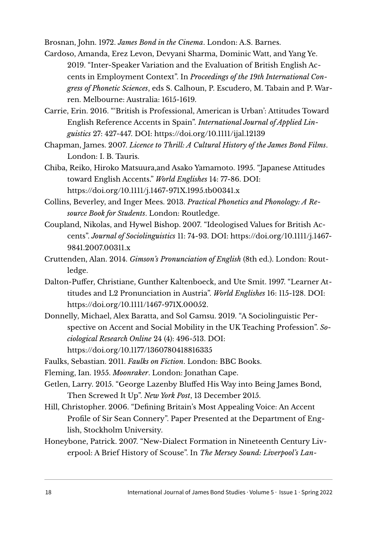Brosnan, John. 1972. *James Bond in the Cinema*. London: A.S. Barnes.

- Cardoso, Amanda, Erez Levon, Devyani Sharma, Dominic Watt, and Yang Ye. 2019. "Inter-Speaker Variation and the Evaluation of British English Accents in Employment Context". In *Proceedings of the 19th International Congress of Phonetic Sciences*, eds S. Calhoun, P. Escudero, M. Tabain and P. Warren. Melbourne: Australia: 1615-1619.
- Carrie, Erin. 2016. "'British is Professional, American is Urban': Attitudes Toward English Reference Accents in Spain". *International Journal of Applied Linguistics* 27: 427-447. DOI:<https://doi.org/10.1111/ijal.12139>
- Chapman, James. 2007. *Licence to Thrill: A Cultural History of the James Bond Films*. London: I. B. Tauris.
- Chiba, Reiko, Hiroko Matsuura,and Asako Yamamoto. 1995. "Japanese Attitudes toward English Accents." *World Englishes* 14: 77-86. DOI: <https://doi.org/10.1111/j.1467-971X.1995.tb00341.x>
- Collins, Beverley, and Inger Mees. 2013. *Practical Phonetics and Phonology: A Resource Book for Students*. London: Routledge.
- Coupland, Nikolas, and Hywel Bishop. 2007. "Ideologised Values for British Accents". *Journal of Sociolinguistics* 11: 74-93. DOI: [https://doi.org/10.1111/j.1467-](https://doi.org/10.1111/j.1467-9841.2007.00311.x) [9841.2007.00311.x](https://doi.org/10.1111/j.1467-9841.2007.00311.x)
- Cruttenden, Alan. 2014. *Gimson's Pronunciation of English* (8th ed.). London: Routledge.
- Dalton-Puffer, Christiane, Gunther Kaltenboeck, and Ute Smit. 1997. "Learner Attitudes and L2 Pronunciation in Austria". *World Englishes* 16: 115-128. DOI: [https://doi.org/10.1111/1467-971X.00052.](https://doi.org/10.1111/1467-971X.00052)
- Donnelly, Michael, Alex Baratta, and Sol Gamsu. 2019. "A Sociolinguistic Perspective on Accent and Social Mobility in the UK Teaching Profession". *Sociological Research Online* 24 (4): 496-513. DOI: [https://doi.org/10.1177/1360780418816335](https://doi.org/10.1177%2F1360780418816335)

Faulks, Sebastian. 2011. *Faulks on Fiction*. London: BBC Books.

Fleming, Ian. 1955. *Moonraker*. London: Jonathan Cape.

- Getlen, Larry. 2015. "George Lazenby Bluffed His Way into Being James Bond, Then Screwed It Up". *New York Post*, 13 December 2015.
- Hill, Christopher. 2006. "Defning Britain's Most Appealing Voice: An Accent Profle of Sir Sean Connery". Paper Presented at the Department of English, Stockholm University.
- Honeybone, Patrick. 2007. "New-Dialect Formation in Nineteenth Century Liverpool: A Brief History of Scouse". In *The Mersey Sound: Liverpool's Lan-*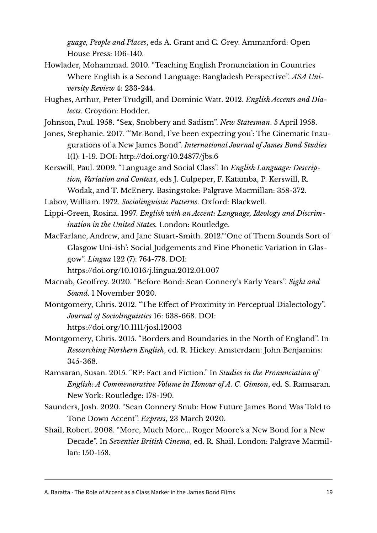*guage, People and Places*, eds A. Grant and C. Grey. Ammanford: Open House Press: 106-140.

- Howlader, Mohammad. 2010. "Teaching English Pronunciation in Countries Where English is a Second Language: Bangladesh Perspective". *ASA University Review* 4: 233-244.
- Hughes, Arthur, Peter Trudgill, and Dominic Watt. 2012. *English Accents and Dialects*. Croydon: Hodder.
- Johnson, Paul. 1958. "Sex, Snobbery and Sadism". *New Statesman*. 5 April 1958.
- Jones, Stephanie. 2017. "'Mr Bond, I've been expecting you': The Cinematic Inaugurations of a New James Bond". *International Journal of James Bond Studies*  1(1): 1-19. DOI: <http://doi.org/10.24877/jbs.6>
- Kerswill, Paul. 2009. "Language and Social Class". In *English Language: Description, Variation and Context*, eds J. Culpeper, F. Katamba, P. Kerswill, R. Wodak, and T. McEnery. Basingstoke: Palgrave Macmillan: 358-372.
- Labov, William. 1972. *Sociolinguistic Patterns*. Oxford: Blackwell.
- Lippi-Green, Rosina. 1997. *English with an Accent: Language, Ideology and Discrimination in the United States.* London: Routledge.
- MacFarlane, Andrew, and Jane Stuart-Smith. 2012."'One of Them Sounds Sort of Glasgow Uni-ish': Social Judgements and Fine Phonetic Variation in Glasgow". *Lingua* 122 (7): 764-778. DOI:
	- <https://doi.org/10.1016/j.lingua.2012.01.007>
- Macnab, Geoffrey. 2020. "Before Bond: Sean Connery's Early Years". *Sight and Sound*. 1 November 2020.
- Montgomery, Chris. 2012. "The Effect of Proximity in Perceptual Dialectology". *Journal of Sociolinguistics* 16: 638-668. DOI: <https://doi.org/10.1111/josl.12003>
- Montgomery, Chris. 2015. "Borders and Boundaries in the North of England". In *Researching Northern English*, ed. R. Hickey. Amsterdam: John Benjamins: 345-368.
- Ramsaran, Susan. 2015. "RP: Fact and Fiction." In *Studies in the Pronunciation of English: A Commemorative Volume in Honour of A. C. Gimson*, ed. S. Ramsaran. New York: Routledge: 178-190.
- Saunders, Josh. 2020. "Sean Connery Snub: How Future James Bond Was Told to Tone Down Accent". *Express*, 23 March 2020.
- Shail, Robert. 2008. "More, Much More... Roger Moore's a New Bond for a New Decade". In *Seventies British Cinema*, ed. R. Shail. London: Palgrave Macmillan: 150-158.